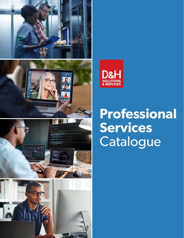









# **Professional Services**  Catalogue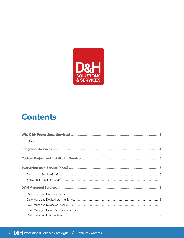

### **Contents**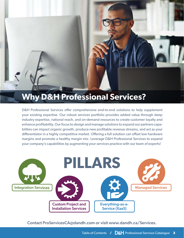## <span id="page-2-0"></span>**Why D&H Professional Services?**

D&H Professional Services offer comprehensive end-to-end solutions to help supplement your existing expertise. Our robust services portfolio provides added value through deep industry expertise, national reach, and on-demand resources to create customer loyalty and enhance profitability. Our focus to design and manage solutions to expand our partners capabilities can impact organic growth, produce new profitable revenue streams, and act as your differentiator in a highly competitive market. Offering a full solution can offset low hardware margins and promote a healthy margin mix. Leverage D&H Professional Services to expand your company's capabilities by augmenting your services practice with our team of experts!



Contact [ProServicesCA@dandh.com](mailto:ProServices@dandh.com) or visit [www.dandh.ca/Services.](http://www.dandh.com/DHSS)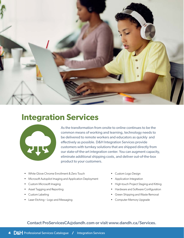<span id="page-3-0"></span>

### **Integration Services**



As the transformation from onsite to online continues to be the common means of working and learning, technology needs to be delivered to remote workers and educators as quickly and effectively as possible. D&H Integration Services provide customers with turnkey solutions that are shipped directly from our state-of-the-art integration center. You can augment capacity, eliminate additional shipping costs, and deliver out-of-the-box product to your customers.

- White Glove Chrome Enrollment & Zero Touch
- Microsoft Autopilot Imaging and Application Deployment
- Custom Microsoft Imaging
- Asset Tagging and Reporting
- Custom Labeling
- Laser Etching Logo and Messaging
- Custom Logo Design
- Application Integration
- High-touch Project Staging and Kitting
- Hardware and Software Configuration
- Green Shipping and Waste Removal
- Computer Memory Upgrade

#### Contact [ProServicesCA@dandh.com](mailto:ProServices@dandh.com) or visit [www.dandh.ca/Services.](http://www.dandh.com/DHSS)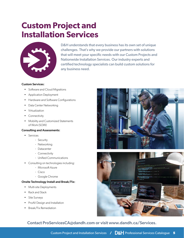### <span id="page-4-0"></span>**Custom Project and Installation Services**



D&H understands that every business has its own set of unique challenges. That's why we provide our partners with solutions that will meet your specific needs with our Custom Projects and Nationwide Installation Services. Our industry experts and certified technology specialists can build custom solutions for any business need.

#### Custom Services:

- Software and Cloud Migrations
- Application Deployment
- Hardware and Software Configurations
- Data Center Networking
- Virtualization
- Connectivity
- Mobility and Customized Statements of Work (SOW)

#### Consulting and Assessments:

- Services
	- · Security
	- · Networking
	- · Datacenter
	- · Connectivity
	- · Unified Communications
- Consulting on technologies including:
	- · Microsoft Azure
	- · Cisco
	- · Google Chrome

#### Onsite Technology Install and Break/Fix:

- Multi-site Deployments
- Rack and Stack
- Site Surveys
- ProAV Design and Installation
- Break/Fix Remediation



#### Contact [ProServicesCA@dandh.com](mailto:ProServices@dandh.com) or visit [www.dandh.ca/Services.](http://www.dandh.com/DHSS)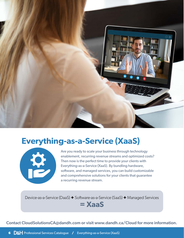<span id="page-5-0"></span>

### **Everything-as-a-Service (XaaS)**



Are you ready to scale your business through technology enablement, recurring revenue streams and optimized costs? Then now is the perfect time to provide your clients with Everything-as-a-Service (XaaS). By bundling hardware, software, and managed services, you can build customizable and comprehensive solutions for your clients that guarantee a recurring revenue stream.

Device-as-a-Service (DaaS) **+** Software-as-a-Service (SaaS) **+** Managed Services

**= XaaS**

Contact CloudSolutionsC[A@dandh.com](mailto:DaaS@dandh.com) or visit [www.dandh.ca/C](http://www.dandh.com/daas)loud for more information.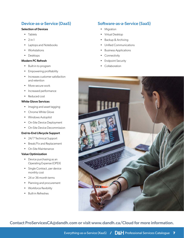#### <span id="page-6-0"></span>Device-as-a-Service (DaaS)

#### Selection of Devices

- Tablets
- $2-in-1$
- Laptops and Notebooks
- Workstations
- Desktops

#### Modern PC Refresh

- Built-in to program
- Empowering profitability
- Increases customer satisfaction and retention
- More secure work
- Increased performance
- Reduced cost

#### White Glove Services

- Imaging and asset tagging
- Chrome White Glove
- Windows Autopilot
- On-Site Device Deployment
- On-Site Device Decommission

#### End-to-End Lifecycle Support

- 24/7 Technical Support
- Break/Fix and Replacement
- On-Site Maintenance

#### Value Optimization

- Device purchasing as an Operating Expense (OPEX)
- Single Contract, per device monthly cost
- 24 or 36-month terms
- Planning and procurement
- Workforce flexibility
- Built-in Refreshes

#### Software-as-a-Service (SaaS)

- Migration
- Virtual Desktop
- Backup & Archiving
- Unified Communications
- Business Applications
- Connectivity
- Endpoint Security
- Collaboration



Contact [ProServicesCA@dandh.com](mailto:ProServices@dandh.com) or visit [www.dandh.ca/Cloud](http://www.dandh.com/cloud) for more information.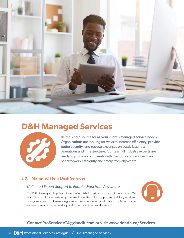<span id="page-7-0"></span>

### **D&H Managed Services**



Be the single source for all your client's managed service needs. Organizations are looking for ways to increase efficiency, provide better security, and reduce expenses on costly business operations and infrastructure. Our team of industry experts are ready to provide your clients with the tools and services they need to work efficiently and safely from anywhere.

#### D&H Managed Help Desk Services

#### *Unlimited Expert Support to Enable Work from Anywhere*

The D&H Managed Help Desk Service offers 24/7 real-time assistance for end users. Our team of technology experts will provide unlimited technical support and training, install and configure antivirus software, diagnose and remove viruses, and more. Simply call or chat and we'll provide on-demand support to help solve technical issues.



#### Contact [ProServicesCA@dandh.com](mailto:ProServices@dandh.com) or visit [www.dandh.ca/Services.](http://www.dandh.com/DHSS)